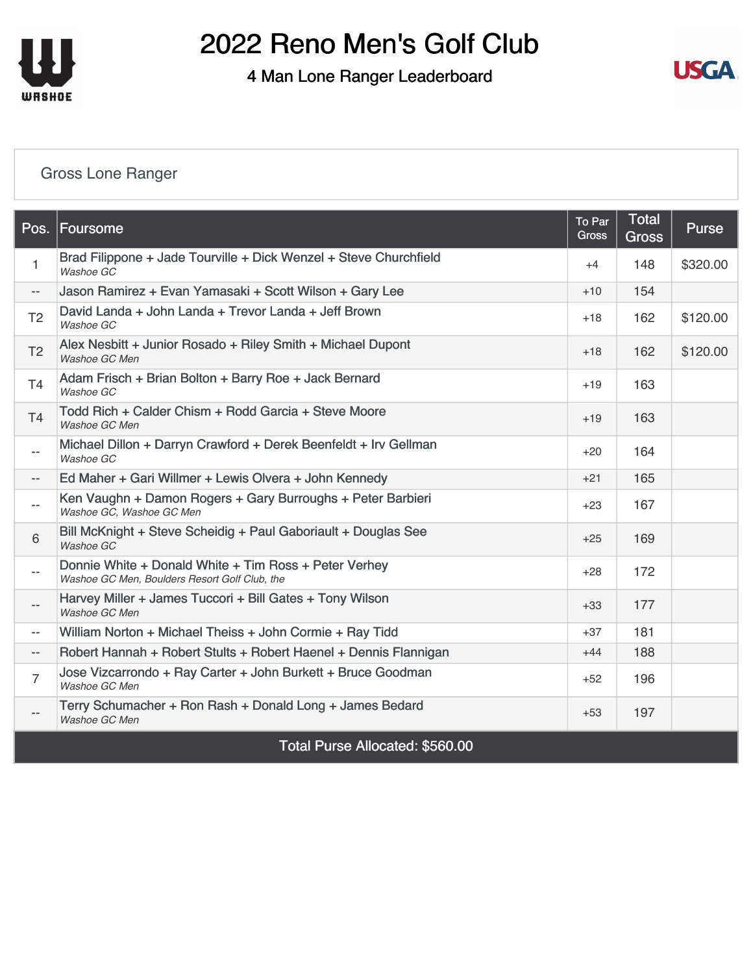

4 Man Lone Ranger Leaderboard



#### [Gross Lone Ranger](https://static.golfgenius.com/v2tournaments/8161026442335903094?called_from=&round_index=6)

|                          | Pos. Foursome                                                                                          | To Par<br><b>Gross</b> | <b>Total</b><br><b>Gross</b> | <b>Purse</b> |
|--------------------------|--------------------------------------------------------------------------------------------------------|------------------------|------------------------------|--------------|
| $\mathbf{1}$             | Brad Filippone + Jade Tourville + Dick Wenzel + Steve Churchfield<br>Washoe GC                         | $+4$                   | 148                          | \$320.00     |
| $\overline{\phantom{a}}$ | Jason Ramirez + Evan Yamasaki + Scott Wilson + Gary Lee                                                | $+10$                  | 154                          |              |
| T <sub>2</sub>           | David Landa + John Landa + Trevor Landa + Jeff Brown<br>Washoe GC                                      | $+18$                  | 162                          | \$120.00     |
| T <sub>2</sub>           | Alex Nesbitt + Junior Rosado + Riley Smith + Michael Dupont<br>Washoe GC Men                           | $+18$                  | 162                          | \$120.00     |
| T <sub>4</sub>           | Adam Frisch + Brian Bolton + Barry Roe + Jack Bernard<br>Washoe GC                                     | $+19$                  | 163                          |              |
| T <sub>4</sub>           | Todd Rich + Calder Chism + Rodd Garcia + Steve Moore<br>Washoe GC Men                                  | $+19$                  | 163                          |              |
| $\overline{\phantom{a}}$ | Michael Dillon + Darryn Crawford + Derek Beenfeldt + Irv Gellman<br>Washoe GC                          | $+20$                  | 164                          |              |
| $- -$                    | Ed Maher + Gari Willmer + Lewis Olvera + John Kennedy                                                  | $+21$                  | 165                          |              |
| $\overline{\phantom{a}}$ | Ken Vaughn + Damon Rogers + Gary Burroughs + Peter Barbieri<br>Washoe GC, Washoe GC Men                | $+23$                  | 167                          |              |
| $6\,$                    | Bill McKnight + Steve Scheidig + Paul Gaboriault + Douglas See<br>Washoe GC                            | $+25$                  | 169                          |              |
| $\overline{\phantom{a}}$ | Donnie White + Donald White + Tim Ross + Peter Verhey<br>Washoe GC Men, Boulders Resort Golf Club, the | $+28$                  | 172                          |              |
| $\overline{\phantom{a}}$ | Harvey Miller + James Tuccori + Bill Gates + Tony Wilson<br>Washoe GC Men                              | $+33$                  | 177                          |              |
| $\overline{\phantom{a}}$ | William Norton + Michael Theiss + John Cormie + Ray Tidd                                               | $+37$                  | 181                          |              |
| $\overline{\phantom{a}}$ | Robert Hannah + Robert Stults + Robert Haenel + Dennis Flannigan                                       | $+44$                  | 188                          |              |
| $\overline{7}$           | Jose Vizcarrondo + Ray Carter + John Burkett + Bruce Goodman<br>Washoe GC Men                          | $+52$                  | 196                          |              |
|                          | Terry Schumacher + Ron Rash + Donald Long + James Bedard<br>Washoe GC Men                              | $+53$                  | 197                          |              |
|                          | Total Purse Allocated: \$560.00                                                                        |                        |                              |              |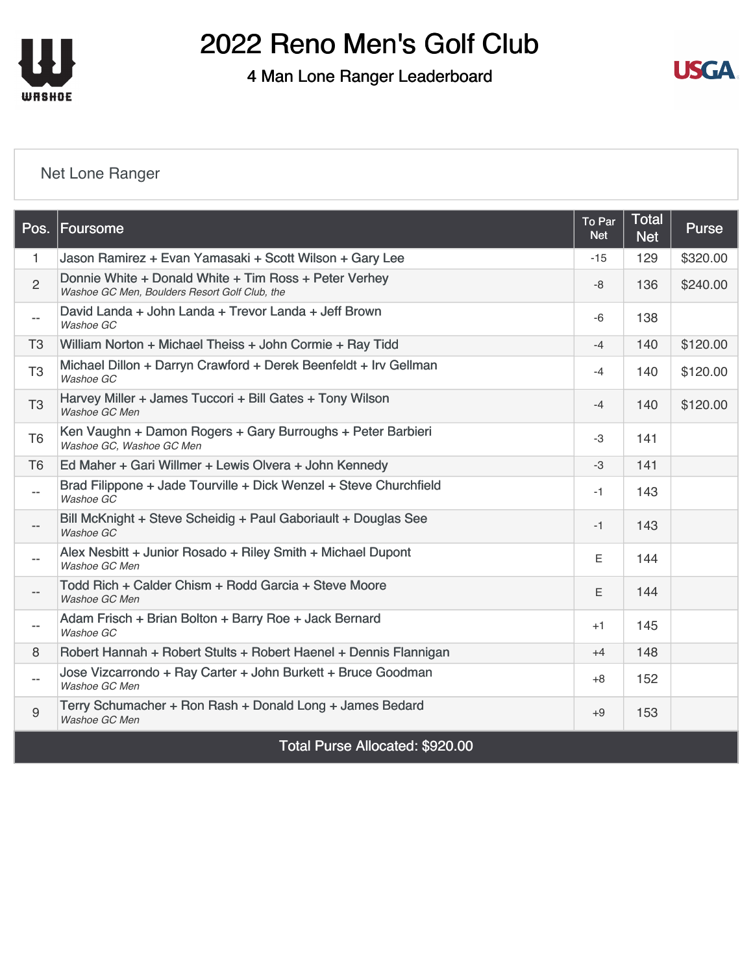

4 Man Lone Ranger Leaderboard



#### [Net Lone Ranger](https://static.golfgenius.com/v2tournaments/8161026444852485495?called_from=&round_index=6)

|                          | Pos. Foursome                                                                                          | To Par<br><b>Net</b> | <b>Total</b><br><b>Net</b> | <b>Purse</b> |
|--------------------------|--------------------------------------------------------------------------------------------------------|----------------------|----------------------------|--------------|
| $\mathbf{1}$             | Jason Ramirez + Evan Yamasaki + Scott Wilson + Gary Lee                                                | $-15$                | 129                        | \$320.00     |
| $\overline{2}$           | Donnie White + Donald White + Tim Ross + Peter Verhey<br>Washoe GC Men, Boulders Resort Golf Club, the | $-8$                 | 136                        | \$240.00     |
| $-\,-$                   | David Landa + John Landa + Trevor Landa + Jeff Brown<br>Washoe GC                                      | -6                   | 138                        |              |
| T <sub>3</sub>           | William Norton + Michael Theiss + John Cormie + Ray Tidd                                               | $-4$                 | 140                        | \$120.00     |
| T <sub>3</sub>           | Michael Dillon + Darryn Crawford + Derek Beenfeldt + Irv Gellman<br>Washoe GC                          | $-4$                 | 140                        | \$120.00     |
| T <sub>3</sub>           | Harvey Miller + James Tuccori + Bill Gates + Tony Wilson<br>Washoe GC Men                              | $-4$                 | 140                        | \$120.00     |
| T <sub>6</sub>           | Ken Vaughn + Damon Rogers + Gary Burroughs + Peter Barbieri<br>Washoe GC, Washoe GC Men                | $-3$                 | 141                        |              |
| T <sub>6</sub>           | Ed Maher + Gari Willmer + Lewis Olvera + John Kennedy                                                  | $-3$                 | 141                        |              |
| $-$                      | Brad Filippone + Jade Tourville + Dick Wenzel + Steve Churchfield<br>Washoe GC                         | $-1$                 | 143                        |              |
| $- -$                    | Bill McKnight + Steve Scheidig + Paul Gaboriault + Douglas See<br>Washoe GC                            | $-1$                 | 143                        |              |
| $-$                      | Alex Nesbitt + Junior Rosado + Riley Smith + Michael Dupont<br>Washoe GC Men                           | E                    | 144                        |              |
| --                       | Todd Rich + Calder Chism + Rodd Garcia + Steve Moore<br>Washoe GC Men                                  | E                    | 144                        |              |
| --                       | Adam Frisch + Brian Bolton + Barry Roe + Jack Bernard<br>Washoe GC                                     | $+1$                 | 145                        |              |
| 8                        | Robert Hannah + Robert Stults + Robert Haenel + Dennis Flannigan                                       | $+4$                 | 148                        |              |
| $\overline{\phantom{a}}$ | Jose Vizcarrondo + Ray Carter + John Burkett + Bruce Goodman<br>Washoe GC Men                          | $+8$                 | 152                        |              |
| 9                        | Terry Schumacher + Ron Rash + Donald Long + James Bedard<br>Washoe GC Men                              | $+9$                 | 153                        |              |
|                          | $T \cdot \cdot \cdot T$ $\cdot \cdot \cdot T$                                                          |                      |                            |              |

Total Purse Allocated: \$920.00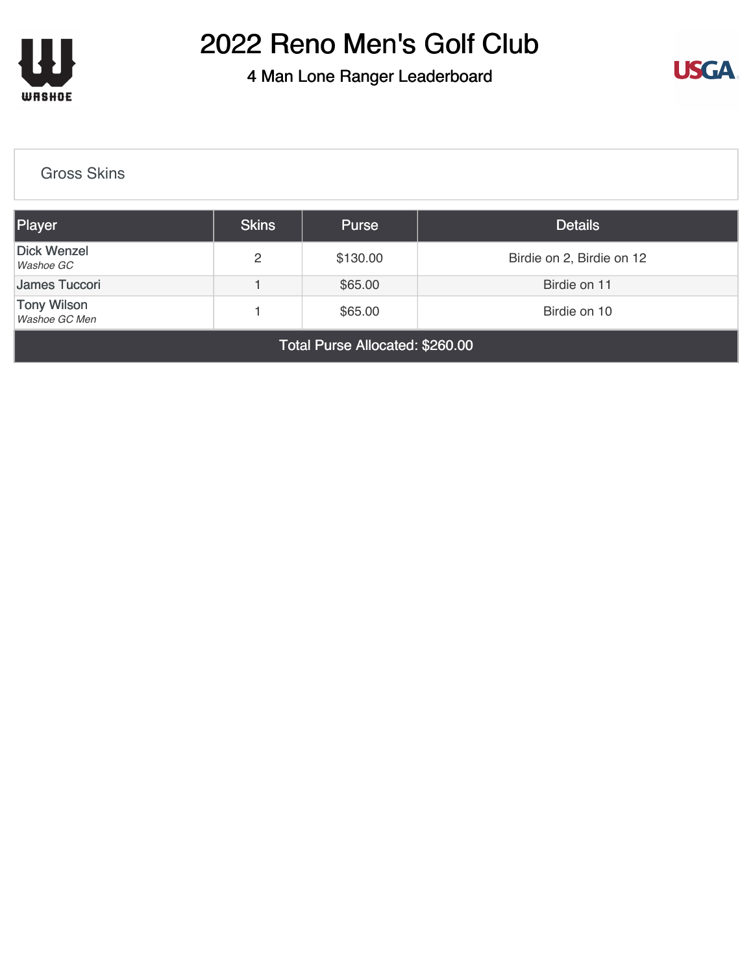

4 Man Lone Ranger Leaderboard



#### [Gross Skins](https://static.golfgenius.com/v2tournaments/8161026465320689017?called_from=&round_index=6)

| Player                                                         | <b>Skins</b> | <b>Purse</b> | <b>Details</b>            |  |
|----------------------------------------------------------------|--------------|--------------|---------------------------|--|
| <b>Dick Wenzel</b><br>Washoe GC                                | 2            | \$130.00     | Birdie on 2, Birdie on 12 |  |
| James Tuccori                                                  |              | \$65.00      | Birdie on 11              |  |
| <b>Tony Wilson</b><br>\$65.00<br>Birdie on 10<br>Washoe GC Men |              |              |                           |  |
| <b>Total Purse Allocated: \$260.00</b>                         |              |              |                           |  |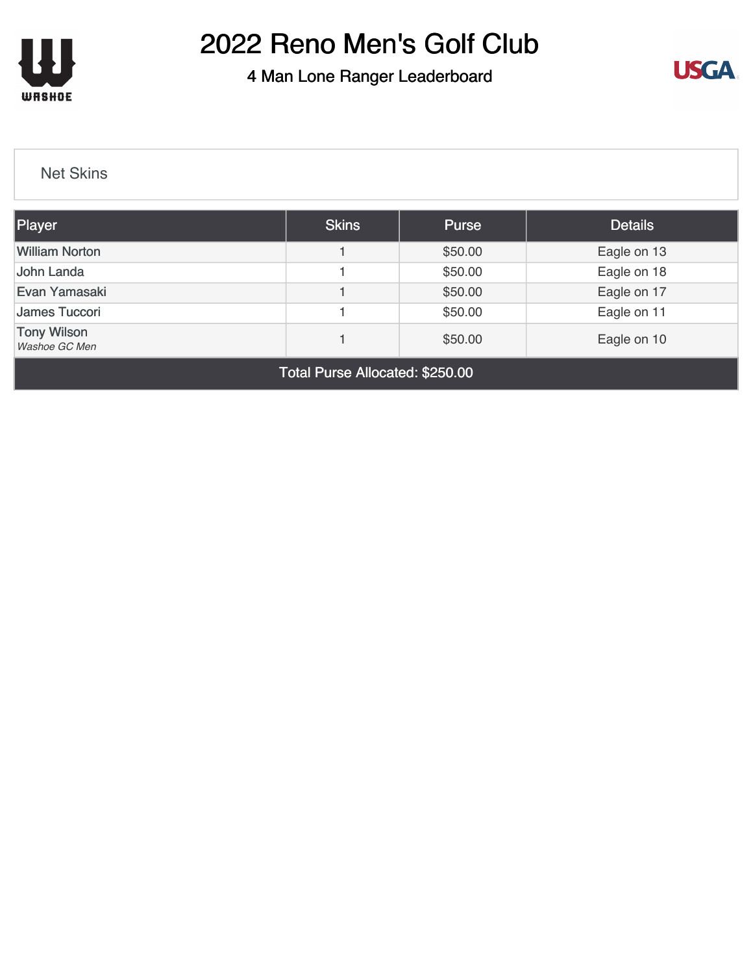

4 Man Lone Ranger Leaderboard



[Net Skins](https://static.golfgenius.com/v2tournaments/8161026483440082298?called_from=&round_index=6)

| Player                              | <b>Skins</b> | <b>Purse</b> | <b>Details</b> |  |
|-------------------------------------|--------------|--------------|----------------|--|
| <b>William Norton</b>               |              | \$50.00      | Eagle on 13    |  |
| John Landa                          |              | \$50.00      | Eagle on 18    |  |
| Evan Yamasaki                       |              | \$50.00      | Eagle on 17    |  |
| James Tuccori                       |              | \$50.00      | Eagle on 11    |  |
| <b>Tony Wilson</b><br>Washoe GC Men |              | \$50.00      | Eagle on 10    |  |
| $\cdots$ $\cdots$<br>-              |              |              |                |  |

Total Purse Allocated: \$250.00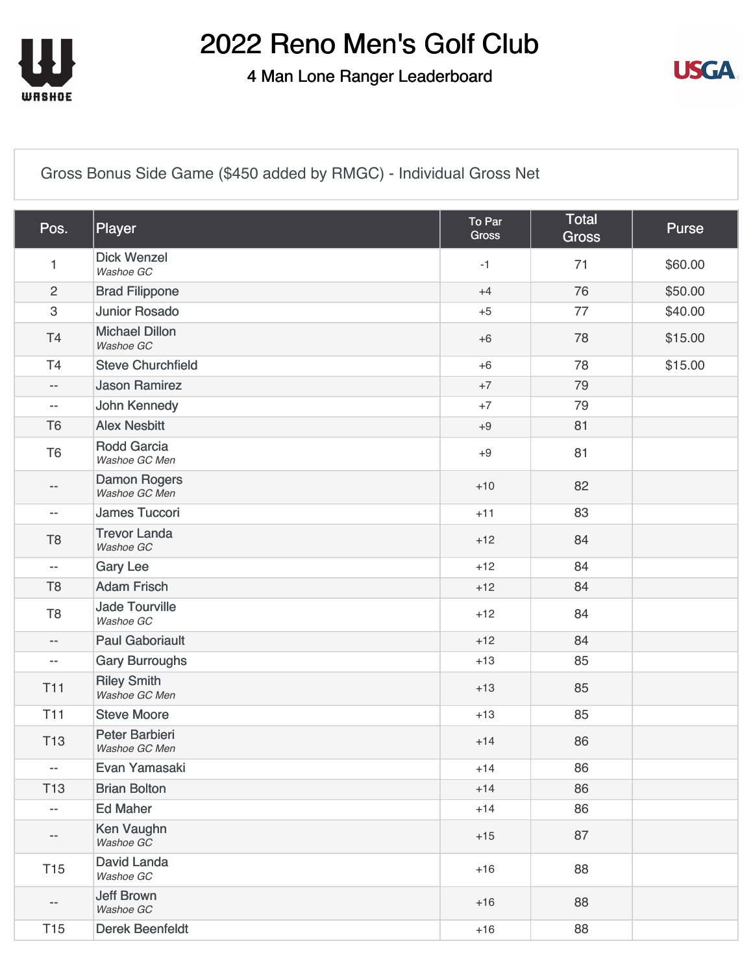

4 Man Lone Ranger Leaderboard



[Gross Bonus Side Game \(\\$450 added by RMGC\) - Individual Gross Net](https://static.golfgenius.com/v2tournaments/8575546824717261851?called_from=&round_index=6)

| Pos.                     | Player                               | To Par<br><b>Gross</b> | Total<br><b>Gross</b> | <b>Purse</b> |
|--------------------------|--------------------------------------|------------------------|-----------------------|--------------|
| 1                        | <b>Dick Wenzel</b><br>Washoe GC      | $-1$                   | 71                    | \$60.00      |
| $\overline{2}$           | <b>Brad Filippone</b>                | $+4$                   | 76                    | \$50.00      |
| $\,3$                    | <b>Junior Rosado</b>                 | $+5$                   | 77                    | \$40.00      |
| T <sub>4</sub>           | <b>Michael Dillon</b><br>Washoe GC   | $+6$                   | 78                    | \$15.00      |
| T4                       | <b>Steve Churchfield</b>             | $+6$                   | 78                    | \$15.00      |
| $\overline{\phantom{a}}$ | <b>Jason Ramirez</b>                 | $+7$                   | 79                    |              |
| $\overline{\phantom{a}}$ | John Kennedy                         | $+7$                   | 79                    |              |
| T <sub>6</sub>           | <b>Alex Nesbitt</b>                  | $+9$                   | 81                    |              |
| T <sub>6</sub>           | <b>Rodd Garcia</b><br>Washoe GC Men  | $+9$                   | 81                    |              |
| $-$                      | <b>Damon Rogers</b><br>Washoe GC Men | $+10$                  | 82                    |              |
| $\overline{\phantom{a}}$ | <b>James Tuccori</b>                 | $+11$                  | 83                    |              |
| T <sub>8</sub>           | <b>Trevor Landa</b><br>Washoe GC     | $+12$                  | 84                    |              |
| $\overline{\phantom{m}}$ | <b>Gary Lee</b>                      | $+12$                  | 84                    |              |
| T <sub>8</sub>           | <b>Adam Frisch</b>                   | $+12$                  | 84                    |              |
| T <sub>8</sub>           | <b>Jade Tourville</b><br>Washoe GC   | $+12$                  | 84                    |              |
| $\overline{\phantom{a}}$ | <b>Paul Gaboriault</b>               | $+12$                  | 84                    |              |
| $\overline{\phantom{a}}$ | <b>Gary Burroughs</b>                | $+13$                  | 85                    |              |
| <b>T11</b>               | <b>Riley Smith</b><br>Washoe GC Men  | $+13$                  | 85                    |              |
| T11                      | <b>Steve Moore</b>                   | $+13$                  | 85                    |              |
| <b>T13</b>               | Peter Barbieri<br>Washoe GC Men      | $+14$                  | 86                    |              |
| $\overline{\phantom{m}}$ | Evan Yamasaki                        | $+14$                  | 86                    |              |
| <b>T13</b>               | <b>Brian Bolton</b>                  | $+14$                  | 86                    |              |
| $\overline{\phantom{a}}$ | <b>Ed Maher</b>                      | $+14$                  | 86                    |              |
| $- -$                    | Ken Vaughn<br>Washoe GC              | $+15$                  | 87                    |              |
| T <sub>15</sub>          | David Landa<br>Washoe GC             | $+16$                  | 88                    |              |
| $\qquad \qquad -$        | <b>Jeff Brown</b><br>Washoe GC       | $+16$                  | 88                    |              |
| T <sub>15</sub>          | <b>Derek Beenfeldt</b>               | $+16$                  | 88                    |              |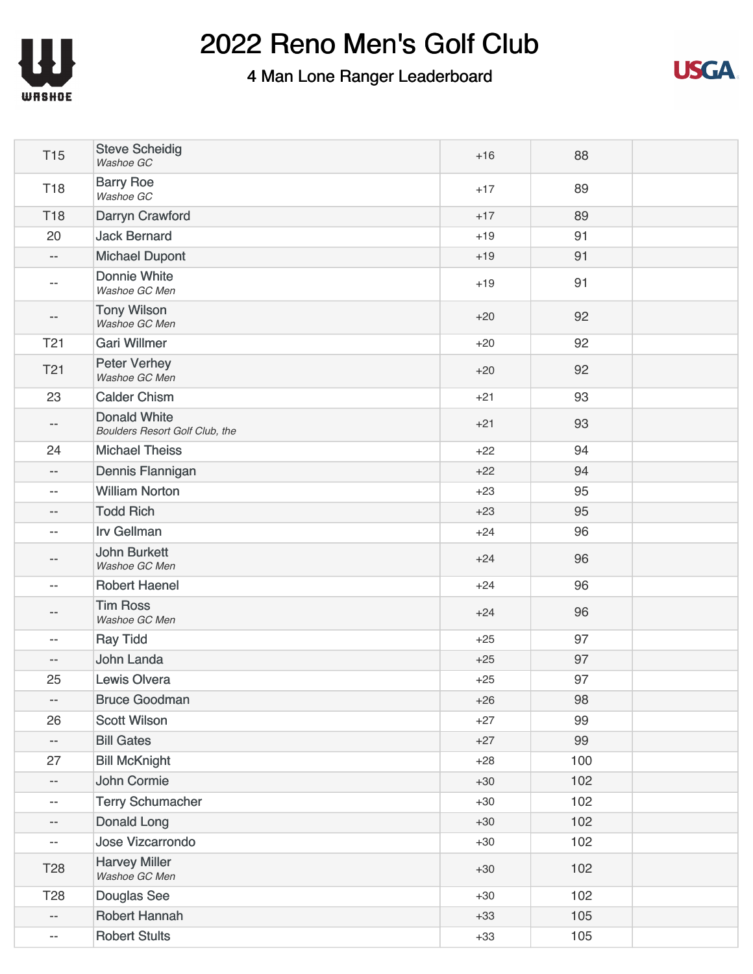



| <b>T15</b>               | <b>Steve Scheidig</b><br>Washoe GC                           | $+16$ | 88  |  |
|--------------------------|--------------------------------------------------------------|-------|-----|--|
| <b>T18</b>               | <b>Barry Roe</b><br>Washoe GC                                | $+17$ | 89  |  |
| <b>T18</b>               | Darryn Crawford                                              | $+17$ | 89  |  |
| 20                       | <b>Jack Bernard</b>                                          | $+19$ | 91  |  |
| $- -$                    | <b>Michael Dupont</b>                                        | $+19$ | 91  |  |
| $- -$                    | Donnie White<br>Washoe GC Men                                | $+19$ | 91  |  |
| $\qquad \qquad -$        | <b>Tony Wilson</b><br>Washoe GC Men                          | $+20$ | 92  |  |
| T <sub>21</sub>          | <b>Gari Willmer</b>                                          | $+20$ | 92  |  |
| T <sub>21</sub>          | <b>Peter Verhey</b><br>Washoe GC Men                         | $+20$ | 92  |  |
| 23                       | <b>Calder Chism</b>                                          | $+21$ | 93  |  |
| $- -$                    | <b>Donald White</b><br><b>Boulders Resort Golf Club, the</b> | $+21$ | 93  |  |
| 24                       | <b>Michael Theiss</b>                                        | $+22$ | 94  |  |
| $- -$                    | Dennis Flannigan                                             | $+22$ | 94  |  |
| --                       | <b>William Norton</b>                                        | $+23$ | 95  |  |
| $-\, -$                  | <b>Todd Rich</b>                                             | $+23$ | 95  |  |
| $-$                      | <b>Irv Gellman</b>                                           | $+24$ | 96  |  |
| --                       | <b>John Burkett</b><br>Washoe GC Men                         | $+24$ | 96  |  |
| $\overline{\phantom{m}}$ | <b>Robert Haenel</b>                                         | $+24$ | 96  |  |
| --                       | <b>Tim Ross</b><br>Washoe GC Men                             | $+24$ | 96  |  |
| $-$                      | <b>Ray Tidd</b>                                              | $+25$ | 97  |  |
| $\overline{\phantom{m}}$ | John Landa                                                   | $+25$ | 97  |  |
| 25                       | Lewis Olvera                                                 | $+25$ | 97  |  |
| $- -$                    | <b>Bruce Goodman</b>                                         | $+26$ | 98  |  |
| 26                       | <b>Scott Wilson</b>                                          | $+27$ | 99  |  |
| $- \, -$                 | <b>Bill Gates</b>                                            | $+27$ | 99  |  |
| 27                       | <b>Bill McKnight</b>                                         | $+28$ | 100 |  |
| $\overline{\phantom{m}}$ | John Cormie                                                  | $+30$ | 102 |  |
| $\overline{\phantom{m}}$ | <b>Terry Schumacher</b>                                      | $+30$ | 102 |  |
| $- -$                    | Donald Long                                                  | $+30$ | 102 |  |
| $- -$                    | <b>Jose Vizcarrondo</b>                                      | $+30$ | 102 |  |
| T <sub>28</sub>          | <b>Harvey Miller</b><br>Washoe GC Men                        | $+30$ | 102 |  |
| <b>T28</b>               | <b>Douglas See</b>                                           | $+30$ | 102 |  |
| $ -$                     | <b>Robert Hannah</b>                                         | $+33$ | 105 |  |
| $-\, -$                  | <b>Robert Stults</b>                                         | $+33$ | 105 |  |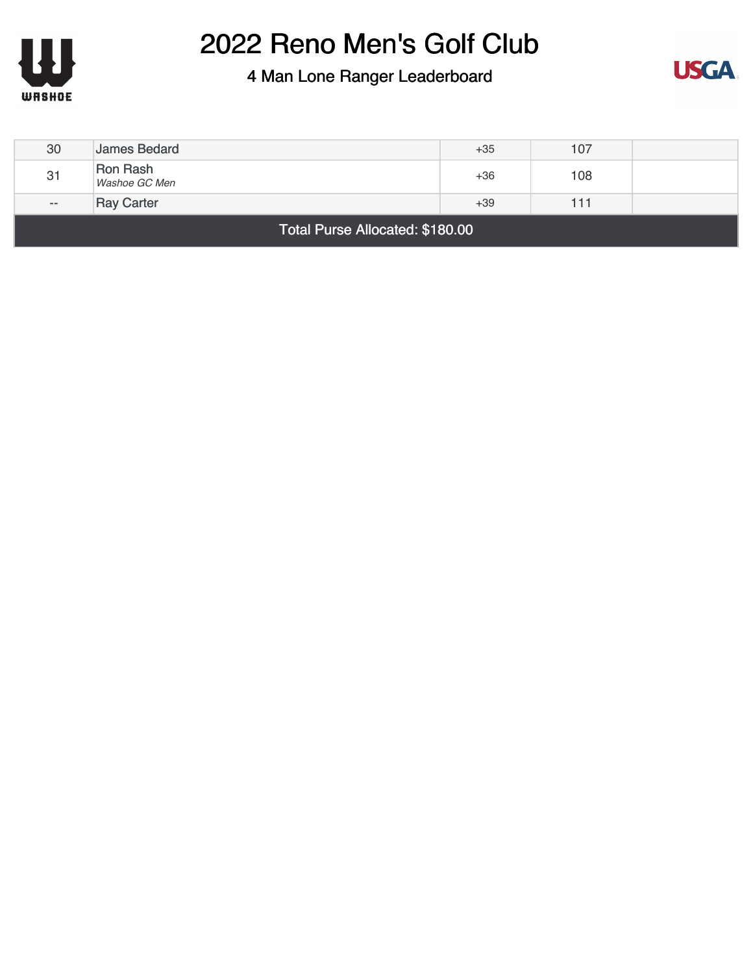



| 30                              | James Bedard              | $+35$ | 107 |  |
|---------------------------------|---------------------------|-------|-----|--|
| 31                              | Ron Rash<br>Washoe GC Men | $+36$ | 108 |  |
| $- -$                           | <b>Ray Carter</b>         | $+39$ | 111 |  |
| Total Purse Allocated: \$180.00 |                           |       |     |  |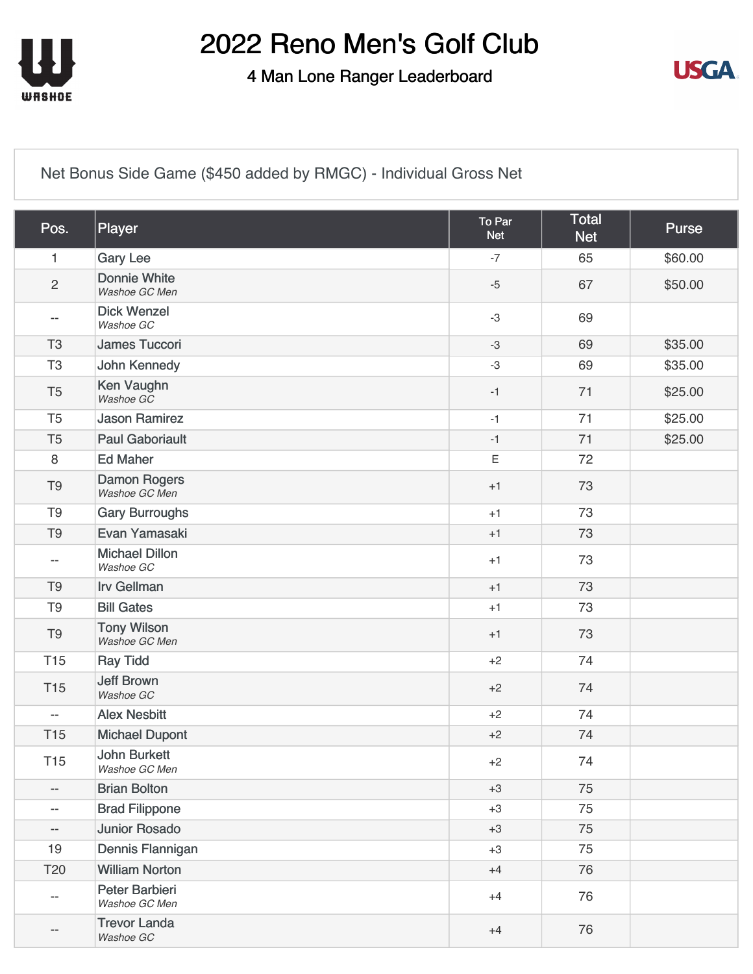

4 Man Lone Ranger Leaderboard



[Net Bonus Side Game \(\\$450 added by RMGC\) - Individual Gross Net](https://static.golfgenius.com/v2tournaments/8575546830354406428?called_from=&round_index=6)

| Pos.                     | Player                               | To Par<br><b>Net</b> | <b>Total</b><br><b>Net</b> | <b>Purse</b> |
|--------------------------|--------------------------------------|----------------------|----------------------------|--------------|
| 1                        | <b>Gary Lee</b>                      | $-7$                 | 65                         | \$60.00      |
| $\sqrt{2}$               | <b>Donnie White</b><br>Washoe GC Men | $-5$                 | 67                         | \$50.00      |
| $\overline{\phantom{m}}$ | <b>Dick Wenzel</b><br>Washoe GC      | $-3$                 | 69                         |              |
| T <sub>3</sub>           | <b>James Tuccori</b>                 | $-3$                 | 69                         | \$35.00      |
| T <sub>3</sub>           | <b>John Kennedy</b>                  | $-3$                 | 69                         | \$35.00      |
| T <sub>5</sub>           | Ken Vaughn<br>Washoe GC              | $-1$                 | 71                         | \$25.00      |
| T <sub>5</sub>           | <b>Jason Ramirez</b>                 | $-1$                 | 71                         | \$25.00      |
| T <sub>5</sub>           | <b>Paul Gaboriault</b>               | $-1$                 | 71                         | \$25.00      |
| 8                        | <b>Ed Maher</b>                      | $\mathsf E$          | 72                         |              |
| T <sub>9</sub>           | <b>Damon Rogers</b><br>Washoe GC Men | $+1$                 | 73                         |              |
| T <sub>9</sub>           | <b>Gary Burroughs</b>                | $+1$                 | 73                         |              |
| T <sub>9</sub>           | Evan Yamasaki                        | $+1$                 | 73                         |              |
| $-$                      | <b>Michael Dillon</b><br>Washoe GC   | $+1$                 | 73                         |              |
| T <sub>9</sub>           | <b>Irv Gellman</b>                   | $+1$                 | 73                         |              |
| T <sub>9</sub>           | <b>Bill Gates</b>                    | $+1$                 | 73                         |              |
| T <sub>9</sub>           | <b>Tony Wilson</b><br>Washoe GC Men  | $+1$                 | 73                         |              |
| <b>T15</b>               | <b>Ray Tidd</b>                      | $+2$                 | 74                         |              |
| <b>T15</b>               | <b>Jeff Brown</b><br>Washoe GC       | $+2$                 | 74                         |              |
| $-$                      | <b>Alex Nesbitt</b>                  | $+2$                 | 74                         |              |
| <b>T15</b>               | <b>Michael Dupont</b>                | $+2$                 | 74                         |              |
| T <sub>15</sub>          | <b>John Burkett</b><br>Washoe GC Men | $+2$                 | 74                         |              |
| $\overline{\phantom{a}}$ | <b>Brian Bolton</b>                  | $+3$                 | 75                         |              |
| $\overline{\phantom{a}}$ | <b>Brad Filippone</b>                | $+3$                 | 75                         |              |
| $- -$                    | <b>Junior Rosado</b>                 | $+3$                 | 75                         |              |
| 19                       | Dennis Flannigan                     | $+3$                 | 75                         |              |
| T20                      | <b>William Norton</b>                | $+4$                 | 76                         |              |
| --                       | Peter Barbieri<br>Washoe GC Men      | $+4$                 | 76                         |              |
| --                       | <b>Trevor Landa</b><br>Washoe GC     | $+4$                 | 76                         |              |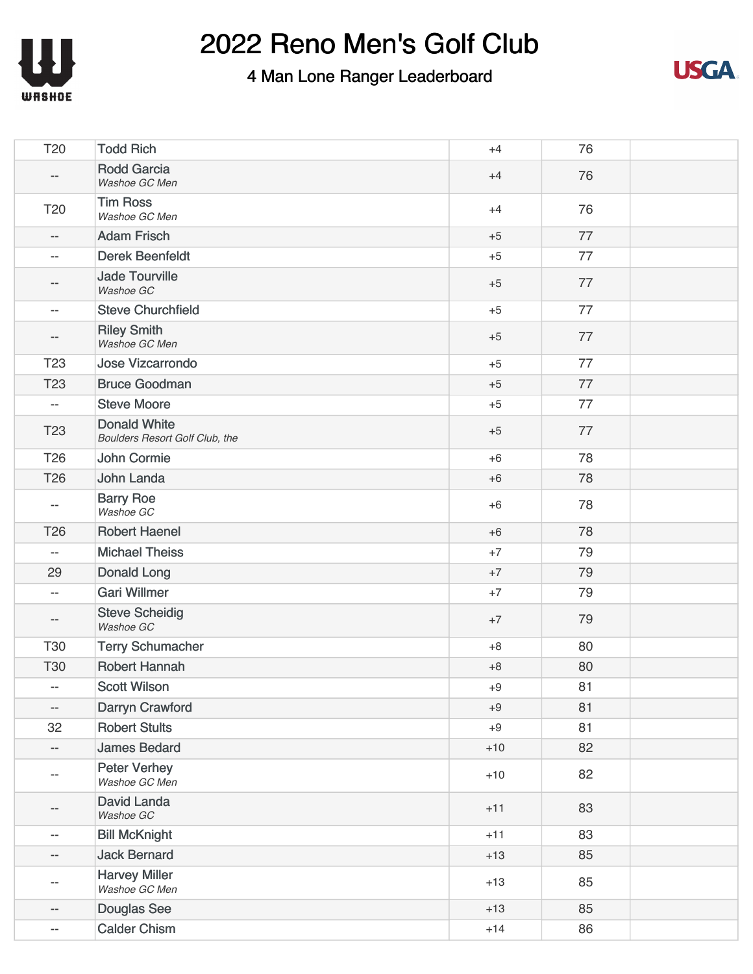



| T20                      | <b>Todd Rich</b>                                      | $+4$  | 76 |  |
|--------------------------|-------------------------------------------------------|-------|----|--|
| $\qquad \qquad -$        | <b>Rodd Garcia</b><br>Washoe GC Men                   | $+4$  | 76 |  |
| T <sub>20</sub>          | <b>Tim Ross</b><br>Washoe GC Men                      | $+4$  | 76 |  |
| $\overline{\phantom{m}}$ | <b>Adam Frisch</b>                                    | $+5$  | 77 |  |
| $\overline{\phantom{m}}$ | <b>Derek Beenfeldt</b>                                | $+5$  | 77 |  |
| --                       | <b>Jade Tourville</b><br>Washoe GC                    | $+5$  | 77 |  |
| $\overline{\phantom{m}}$ | <b>Steve Churchfield</b>                              | $+5$  | 77 |  |
| $- -$                    | <b>Riley Smith</b><br>Washoe GC Men                   | $+5$  | 77 |  |
| <b>T23</b>               | <b>Jose Vizcarrondo</b>                               | $+5$  | 77 |  |
| T <sub>23</sub>          | <b>Bruce Goodman</b>                                  | $+5$  | 77 |  |
| $\overline{\phantom{m}}$ | <b>Steve Moore</b>                                    | $+5$  | 77 |  |
| <b>T23</b>               | <b>Donald White</b><br>Boulders Resort Golf Club, the | $+5$  | 77 |  |
| <b>T26</b>               | John Cormie                                           | $+6$  | 78 |  |
| T <sub>26</sub>          | John Landa                                            | $+6$  | 78 |  |
| $\overline{\phantom{m}}$ | <b>Barry Roe</b><br>Washoe GC                         | $+6$  | 78 |  |
| T <sub>26</sub>          | <b>Robert Haenel</b>                                  | $+6$  | 78 |  |
| $\overline{\phantom{a}}$ | <b>Michael Theiss</b>                                 | $+7$  | 79 |  |
| 29                       | <b>Donald Long</b>                                    | $+7$  | 79 |  |
| $\overline{\phantom{a}}$ | <b>Gari Willmer</b>                                   | $+7$  | 79 |  |
| $\overline{\phantom{a}}$ | <b>Steve Scheidig</b><br>Washoe GC                    | $+7$  | 79 |  |
| <b>T30</b>               | <b>Terry Schumacher</b>                               | $+8$  | 80 |  |
| <b>T30</b>               | <b>Robert Hannah</b>                                  | $+8$  | 80 |  |
| $\overline{\phantom{m}}$ | <b>Scott Wilson</b>                                   | $+9$  | 81 |  |
| $\overline{\phantom{a}}$ | <b>Darryn Crawford</b>                                | $+9$  | 81 |  |
| 32                       | <b>Robert Stults</b>                                  | $+9$  | 81 |  |
| $\overline{\phantom{a}}$ | <b>James Bedard</b>                                   | $+10$ | 82 |  |
| $\overline{\phantom{m}}$ | <b>Peter Verhey</b><br>Washoe GC Men                  | $+10$ | 82 |  |
| $-\, -$                  | David Landa<br>Washoe GC                              | $+11$ | 83 |  |
| $\overline{\phantom{a}}$ | <b>Bill McKnight</b>                                  | $+11$ | 83 |  |
| $-\!$ $\!-$              | <b>Jack Bernard</b>                                   | $+13$ | 85 |  |
| $\overline{\phantom{m}}$ | <b>Harvey Miller</b><br>Washoe GC Men                 | $+13$ | 85 |  |
| $\overline{\phantom{a}}$ | Douglas See                                           | $+13$ | 85 |  |
| --                       | <b>Calder Chism</b>                                   | $+14$ | 86 |  |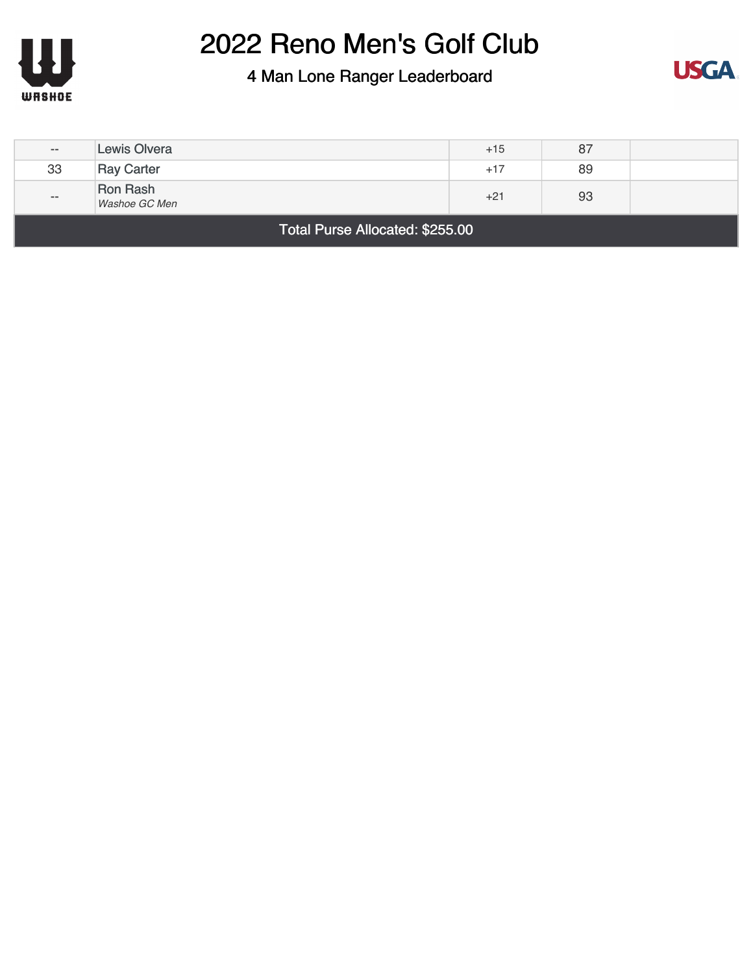



| $- -$                           | <b>Lewis Olvera</b>       | $+15$ | 87 |  |
|---------------------------------|---------------------------|-------|----|--|
| 33                              | <b>Ray Carter</b>         | $+17$ | 89 |  |
| $- -$                           | Ron Rash<br>Washoe GC Men | $+21$ | 93 |  |
| Total Purse Allocated: \$255.00 |                           |       |    |  |